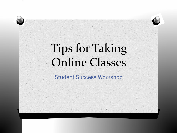# Tips for Taking Online Classes

### Student Success Workshop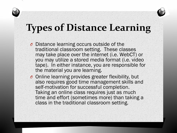### **Types of Distance Learning**

- *O* Distance learning occurs outside of the traditional classroom setting. These classes may take place over the internet (i.e. WebCT) or you may utilize a stored media format (i.e. video tape). In either instance, you are responsible for the material you are learning.
- *O* Online learning provides greater flexibility, but also requires good time management skills and self-motivation for successful completion. Taking an online class requires just as much time and effort (sometimes more) than taking a class in the traditional classroom setting.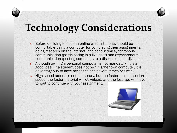### **Technology Considerations**

- Before deciding to take an online class, students should be comfortable using a computer for completing their assignments, doing research on the internet, and conducting synchronous communication (participating in a live chat) and asynchronous communication (posting comments to a discussion board).
- *O* Although owning a personal computer is not mandatory, it is a good idea. If a student does not own his/her own computer, it is advantageous to have access to one several times per week.
- High-speed access is not necessary, but the faster the connection speed, the faster material will download, and the less you will have to wait to continue with your assignment.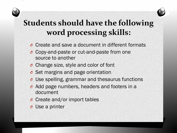

### **Students should have the following word processing skills:**

- *O* Create and save a document in different formats
- *O* Copy-and-paste or cut-and-paste from one source to another
- *O* Change size, style and color of font
- *O* Set margins and page orientation
- *O* Use spelling, grammar and thesaurus functions
- *O* Add page numbers, headers and footers in a document
- *O* Create and/or import tables
- *O* Use a printer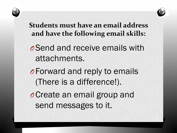

**Students must have an email address and have the following email skills:**

*O*Send and receive emails with attachments.

*O*Forward and reply to emails (There is a difference!).

*O*Create an email group and send messages to it.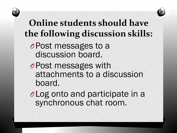

### **Online students should have the following discussion skills:**

- *O*Post messages to a discussion board.
- *O*Post messages with attachments to a discussion board.
- *O*Log onto and participate in a synchronous chat room.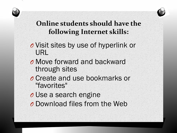

### **Online students should have the following Internet skills:**

- *O* Visit sites by use of hyperlink or URL
- *O* Move forward and backward through sites
- *O* Create and use bookmarks or "favorites"
- *O* Use a search engine
- *O* Download files from the Web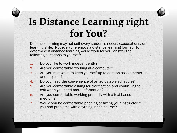# **Is Distance Learning right for You?**

Distance learning may not suit every student's needs, expectations, or learning style. Not everyone enjoys a distance learning format. To determine if distance learning would work for you, answer the following questions to yourself:

- 1. Do you like to work independently?
- 2. Are you comfortable working at a computer?
- 3. Are you motivated to keep yourself up to date on assignments and projects?
- 4. Do you need the convenience of an adjustable schedule?
- 5. Are you comfortable asking for clarification and continuing to ask when you need more information?
- 6. Are you comfortable working primarily with a text-based medium?
- 7. Would you be comfortable phoning or faxing your instructor if you had problems with anything in the course?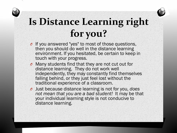# **Is Distance Learning right**

- **for you?**  *O* If you answered "yes" to most of those questions, then you should do well in the distance learning environment. If you hesitated, be certain to keep in touch with your progress.
- *O* Many students find that they are not cut out for distance learning. They do not work well independently, they may constantly find themselves falling behind, or they just feel lost without the traditional experience of a classroom.
- *O* Just because distance learning is not for you, *does not mean that you are a bad student!* It may be that your individual learning style is not conducive to distance learning.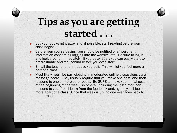### **Tips as you are getting started . . .**

- Buy your books right away and, if possible, start reading before your class begins.
- *O* Before your course begins, you should be notified of all pertinent information concerning logging into the website, etc. Be sure to log in and look around immediately. If you delay at all, you can easily start to procrastinate and feel behind before you even start.
- E-mail the teacher and introduce yourself. This will let you feel more a part of a class.
- *Most likely, you'll be participating in moderated online discussions via a* message board. They usually require that you make one post, and then respond to one or more other posts. Be SURE to make your initial post at the beginning of the week, so others (including the instructor) can respond to you. You'll learn from the feedback and, again, you'll feel more apart of a class. Once that week is up, no one ever goes back to that thread.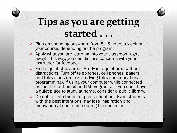## **Tips as you are getting started . . .**

- *O* Plan on spending anywhere from 8-15 hours a week on your course, depending on the program.
- *O* Apply what you are learning into your classroom right away! This way, you can discuss concerns with your instructor for feedback.
- *O* Find a quiet study area. Study in a quiet area without distractions. Turn off telephones, cell phones, pagers, and televisions (unless studying televised educational programming). If using your computer while connected online, turn off email and IM programs. If you don't have a quiet place to study at home, consider a public library.
- *O* Do not fall into the pit of procrastination. Even students with the best intentions may lose inspiration and motivation at some time during the semester.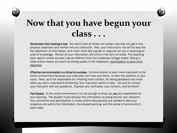### **Now that you have begun your class . . .**

Remember that reading is key. You won't have all those non-verbal cues that you get in the physical classroom and neither will your instructor. Also, your instructor's role will be less like the distributor of information, and much more like a guide or resource for you in exploring an area of knowledge. Almost all your information will come in the form of words. The teaching style used in online courses may be different from the traditional college model. Taking a class online means you won't be sitting quietly in the classroom; participation is even more essential.

Effective communication is critical to success. Communication is even more important in the online environment because your instructor can't see your frown, or hear the question in your voice. Here, you'll be responsible for initiating more contact, for being persistent and vocal when you don't understand something. Your instructor wants to help – be sure to contact your instructor with any questions. Express your confusion, your concern, and be direct!

Participate. In the online environment, it's not enough to show up, you are responsible for your learning. The student must discover the information by doing his/her own research. Your comments and participation in chats (online discussions) are needed to feel your presence and add to the information, the shared learning, and the sense of community in each class.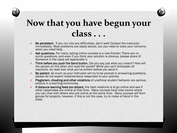### **Now that you have begun your class . . .**

- *O* Be persistent. If you run into any difficulties, don't wait! Contact the instructor immediately. Most problems are easily solved, but you need to voice your concerns when you need help.
- Ask questions. For many, taking online courses is a new frontier. There are no dumb questions, and even if you think your solution is obvious, please share it! Someone in the class will appreciate it.
- *O* Think before you push the Send button. Did you say just what you meant? How will the person on the other end read the words? While you can't anticipate all reactions, do read over what you've written before you send it.
- *O* Be patient. As much as your instructor will try to be prompt in answering questions, please do not expect instantaneous responses to your queries.
- *O* Plagiarism, cheating and other violations of unethical student behavior are serious actions in a learning community.
- *O* If distance learning feels too distant, the best medicine is to go online and see if other classmates are online at that time. Many courses have chat rooms where you can chat with others who are online at the same time. Many courses will form groups for projects, however, if this is not the case, try to make a friend in the class.